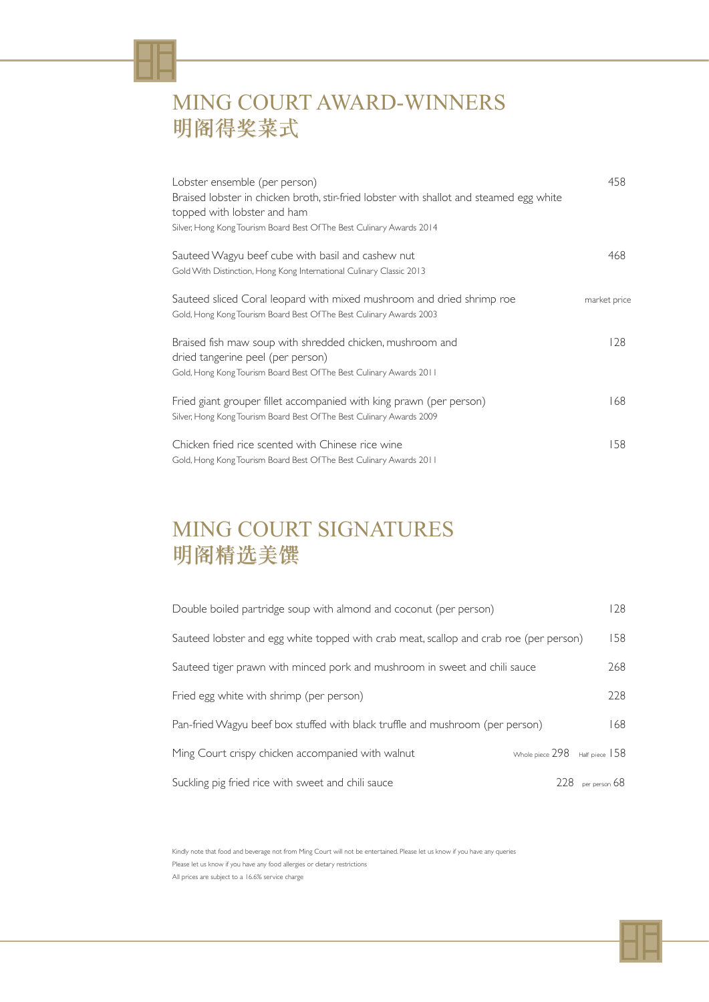| Lobster ensemble (per person)<br>Braised lobster in chicken broth, stir-fried lobster with shallot and steamed egg white<br>topped with lobster and ham<br>Silver, Hong Kong Tourism Board Best Of The Best Culinary Awards 2014 | 458          |
|----------------------------------------------------------------------------------------------------------------------------------------------------------------------------------------------------------------------------------|--------------|
| Sauteed Wagyu beef cube with basil and cashew nut<br>Gold With Distinction, Hong Kong International Culinary Classic 2013                                                                                                        | 468          |
| Sauteed sliced Coral leopard with mixed mushroom and dried shrimp roe<br>Gold, Hong Kong Tourism Board Best Of The Best Culinary Awards 2003                                                                                     | market price |
| Braised fish maw soup with shredded chicken, mushroom and<br>dried tangerine peel (per person)<br>Gold, Hong Kong Tourism Board Best Of The Best Culinary Awards 2011                                                            | 128          |
| Fried giant grouper fillet accompanied with king prawn (per person)<br>Silver, Hong Kong Tourism Board Best Of The Best Culinary Awards 2009                                                                                     | 168          |
| Chicken fried rice scented with Chinese rice wine<br>Gold, Hong Kong Tourism Board Best Of The Best Culinary Awards 2011                                                                                                         | 158          |

## MING COURT AWARD-WINNERS 明阁得奖菜式

Kindly note that food and beverage not from Ming Court will not be entertained. Please let us know if you have any queries Please let us know if you have any food allergies or dietary restrictions All prices are subject to a 16.6% service charge



| Double boiled partridge soup with almond and coconut (per person)                      | 28  |
|----------------------------------------------------------------------------------------|-----|
| Sauteed lobster and egg white topped with crab meat, scallop and crab roe (per person) | 158 |
| Sauteed tiger prawn with minced pork and mushroom in sweet and chili sauce             | 268 |
| Fried egg white with shrimp (per person)                                               | 228 |
| Pan-fried Wagyu beef box stuffed with black truffle and mushroom (per person)          | 68  |
| Ming Court spisor spisor assessmented with walnut                                      | IEO |

Ming Court crispy chicken accompanied with wainut  $\frac{1}{2}$  whole piece 298 Half piece 158

### Suckling pig fried rice with sweet and chili sauce 228 per person 68



### MING COURT SIGNATURES 明阁精选美馔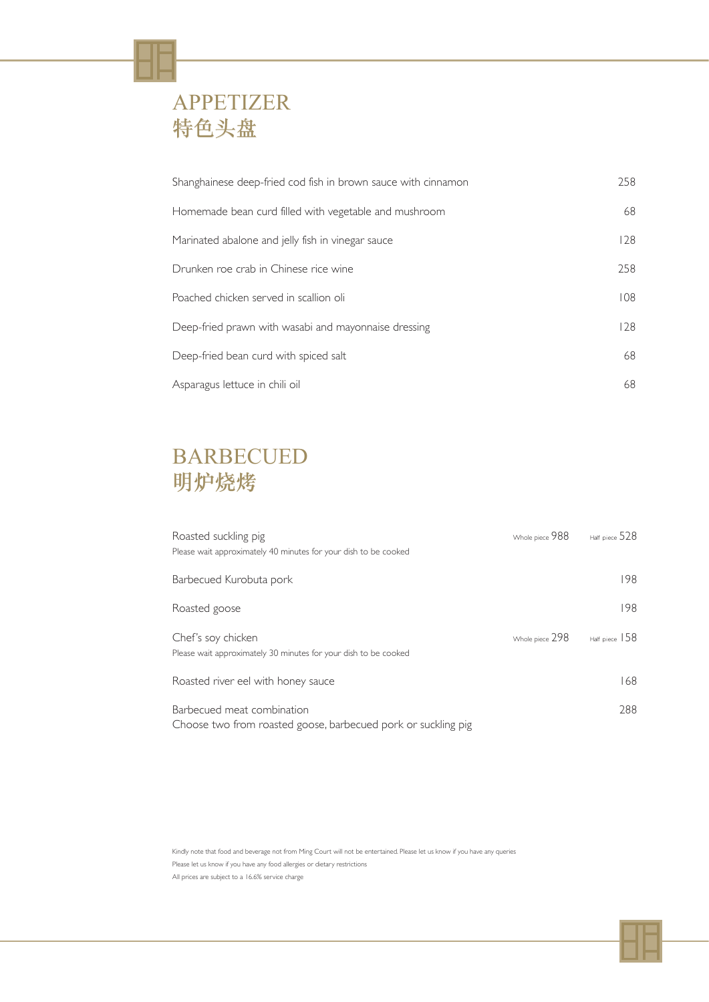| Shanghainese deep-fried cod fish in brown sauce with cinnamon | 258 |
|---------------------------------------------------------------|-----|
| Homemade bean curd filled with vegetable and mushroom         | 68  |
| Marinated abalone and jelly fish in vinegar sauce             | 128 |
| Drunken roe crab in Chinese rice wine                         | 258 |
| Poached chicken served in scallion oli                        | 108 |
| Deep-fried prawn with wasabi and mayonnaise dressing          | 128 |
| Deep-fried bean curd with spiced salt                         | 68  |
| Asparagus lettuce in chili oil                                | 68  |

### APPETIZER 特色头盘

Kindly note that food and beverage not from Ming Court will not be entertained. Please let us know if you have any queries Please let us know if you have any food allergies or dietary restrictions All prices are subject to a 16.6% service charge



| Roasted suckling pig<br>Please wait approximately 40 minutes for your dish to be cooked     | Whole piece 988 | Half piece $528$ |
|---------------------------------------------------------------------------------------------|-----------------|------------------|
| Barbecued Kurobuta pork                                                                     |                 | 198              |
| Roasted goose                                                                               |                 | 198              |
| Chef's soy chicken<br>Please wait approximately 30 minutes for your dish to be cooked       | Whole piece 298 | Half piece $158$ |
| Roasted river eel with honey sauce                                                          |                 | 68               |
| Barbecued meat combination<br>Choose two from roasted goose, barbecued pork or suckling pig |                 | 288              |

# BARBECUED 明炉烧烤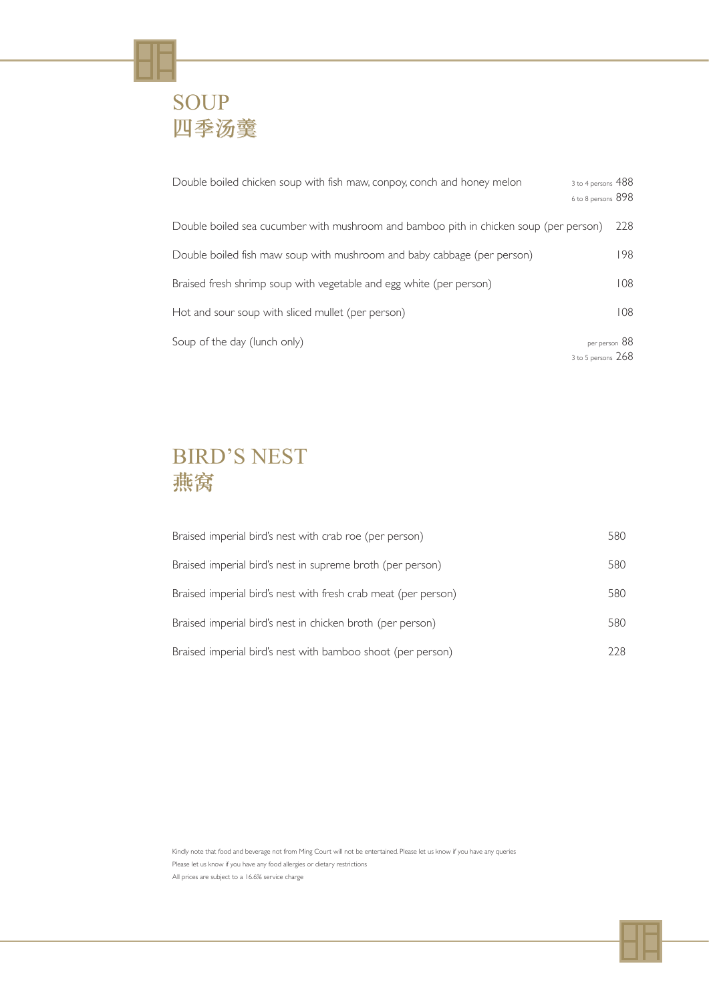# SOUP 四季汤羹

| Double boiled chicken soup with fish maw, conpoy, conch and honey melon               | 3 to 4 persons 488<br>6 to 8 persons 898 |
|---------------------------------------------------------------------------------------|------------------------------------------|
| Double boiled sea cucumber with mushroom and bamboo pith in chicken soup (per person) | 228                                      |
| Double boiled fish maw soup with mushroom and baby cabbage (per person)               | 198                                      |
| Braised fresh shrimp soup with vegetable and egg white (per person)                   | 108                                      |
| Hot and sour soup with sliced mullet (per person)                                     | 108                                      |
| Soup of the day (lunch only)                                                          | per person 88<br>3 to 5 persons $268$    |

Kindly note that food and beverage not from Ming Court will not be entertained. Please let us know if you have any queries Please let us know if you have any food allergies or dietary restrictions All prices are subject to a 16.6% service charge



| Braised imperial bird's nest with crab roe (per person)        | 580  |
|----------------------------------------------------------------|------|
| Braised imperial bird's nest in supreme broth (per person)     | 580  |
| Braised imperial bird's nest with fresh crab meat (per person) | 580  |
| Braised imperial bird's nest in chicken broth (per person)     | 580  |
| Braised imperial bird's nest with bamboo shoot (per person)    | 228. |

## BIRD'S NEST 燕窝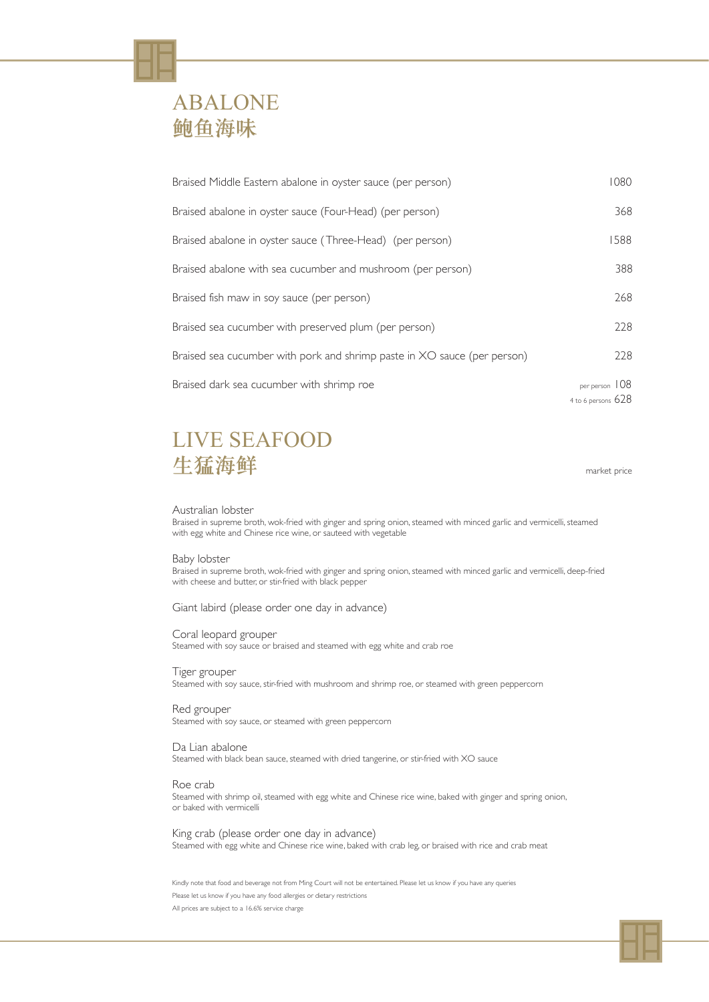Kindly note that food and beverage not from Ming Court will not be entertained. Please let us know if you have any queries Please let us know if you have any food allergies or dietary restrictions

All prices are subject to a 16.6% service charge



| Braised Middle Eastern abalone in oyster sauce (per person)              | 1080                                   |
|--------------------------------------------------------------------------|----------------------------------------|
| Braised abalone in oyster sauce (Four-Head) (per person)                 | 368                                    |
| Braised abalone in oyster sauce (Three-Head) (per person)                | 1588                                   |
| Braised abalone with sea cucumber and mushroom (per person)              | 388                                    |
| Braised fish maw in soy sauce (per person)                               | 268                                    |
| Braised sea cucumber with preserved plum (per person)                    | 228                                    |
| Braised sea cucumber with pork and shrimp paste in XO sauce (per person) | 228                                    |
| Braised dark sea cucumber with shrimp roe                                | per person 108<br>4 to 6 persons $628$ |

### ABALONE 鲍鱼海味

#### Australian lobster

Braised in supreme broth, wok-fried with ginger and spring onion, steamed with minced garlic and vermicelli, steamed with egg white and Chinese rice wine, or sauteed with vegetable

### LIVE SEAFOOD 生猛海鲜 market price

#### Baby lobster

Braised in supreme broth, wok-fried with ginger and spring onion, steamed with minced garlic and vermicelli, deep-fried with cheese and butter, or stir-fried with black pepper

Giant labird (please order one day in advance)

Coral leopard grouper Steamed with soy sauce or braised and steamed with egg white and crab roe

Tiger grouper Steamed with soy sauce, stir-fried with mushroom and shrimp roe, or steamed with green peppercorn

Red grouper Steamed with soy sauce, or steamed with green peppercorn

Da Lian abalone

Steamed with black bean sauce, steamed with dried tangerine, or stir-fried with XO sauce

#### Roe crab

Steamed with shrimp oil, steamed with egg white and Chinese rice wine, baked with ginger and spring onion, or baked with vermicelli

#### King crab (please order one day in advance)

Steamed with egg white and Chinese rice wine, baked with crab leg, or braised with rice and crab meat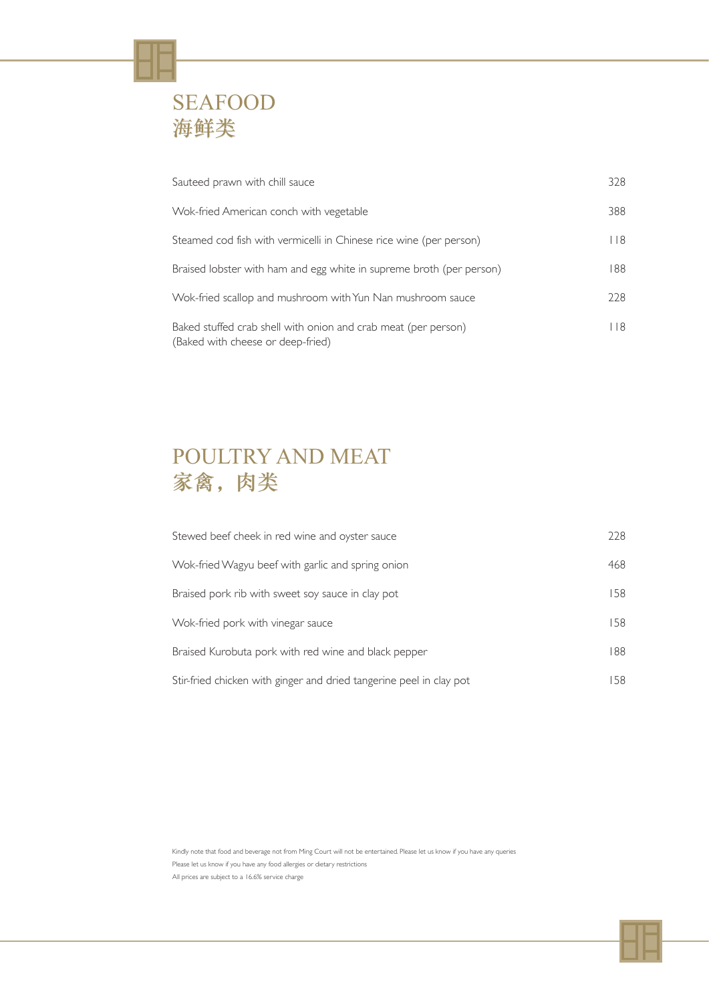| Sauteed prawn with chill sauce                                                                      | 328  |
|-----------------------------------------------------------------------------------------------------|------|
| Wok-fried American conch with vegetable                                                             | 388  |
| Steamed cod fish with vermicelli in Chinese rice wine (per person)                                  | 8    |
| Braised lobster with ham and egg white in supreme broth (per person)                                | 188  |
| Wok-fried scallop and mushroom with Yun Nan mushroom sauce                                          | 228  |
| Baked stuffed crab shell with onion and crab meat (per person)<br>(Baked with cheese or deep-fried) | l 18 |



| Stewed beef cheek in red wine and oyster sauce                      | 228 |
|---------------------------------------------------------------------|-----|
| Wok-fried Wagyu beef with garlic and spring onion                   | 468 |
| Braised pork rib with sweet soy sauce in clay pot                   | 158 |
| Wok-fried pork with vinegar sauce                                   | 158 |
| Braised Kurobuta pork with red wine and black pepper                | 188 |
| Stir-fried chicken with ginger and dried tangerine peel in clay pot | 58  |

Kindly note that food and beverage not from Ming Court will not be entertained. Please let us know if you have any queries Please let us know if you have any food allergies or dietary restrictions All prices are subject to a 16.6% service charge



## POULTRY AND MEAT 家禽,肉类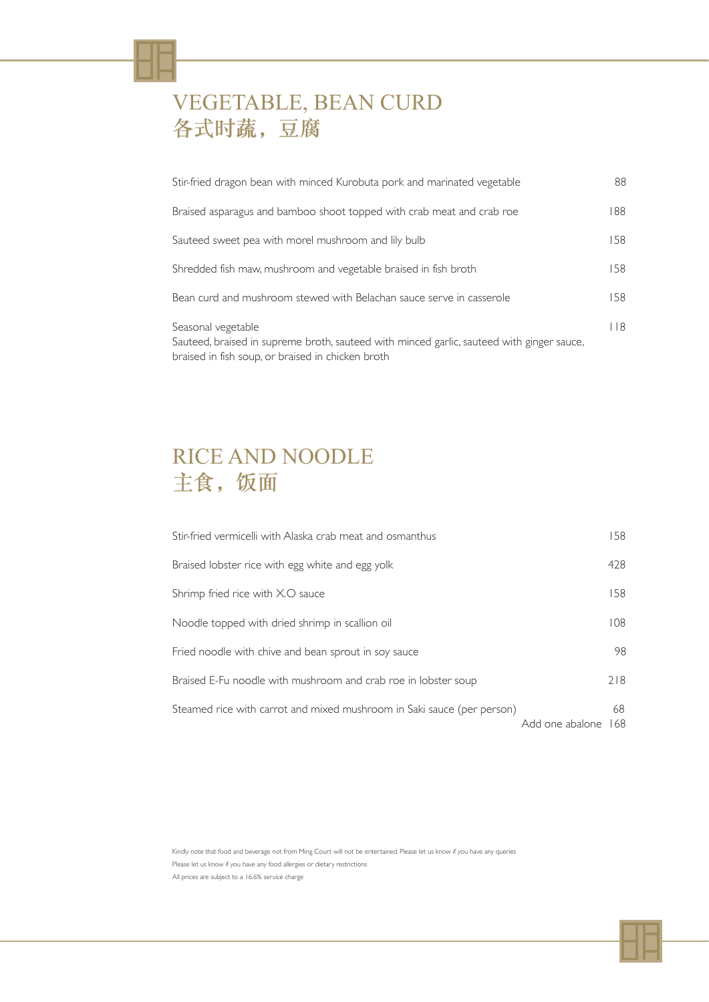| Stir-fried dragon bean with minced Kurobuta pork and marinated vegetable                                                                                             | 88  |
|----------------------------------------------------------------------------------------------------------------------------------------------------------------------|-----|
| Braised asparagus and bamboo shoot topped with crab meat and crab roe                                                                                                | 188 |
| Sauteed sweet pea with morel mushroom and lily bulb                                                                                                                  | 158 |
| Shredded fish maw, mushroom and vegetable braised in fish broth                                                                                                      | 158 |
| Bean curd and mushroom stewed with Belachan sauce serve in casserole                                                                                                 | 58  |
| Seasonal vegetable<br>Sauteed, braised in supreme broth, sauteed with minced garlic, sauteed with ginger sauce,<br>braised in fish soup, or braised in chicken broth | 118 |

## VEGETABLE, BEAN CURD 各式时蔬,豆腐

## RICE AND NOODLE 主食,饭面

Kindly note that food and beverage not from Ming Court will not be entertained. Please let us know if you have any queries Please let us know if you have any food allergies or dietary restrictions All prices are subject to a 16.6% service charge



| Stir-fried vermicelli with Alaska crab meat and osmanthus              | 158                          |
|------------------------------------------------------------------------|------------------------------|
| Braised lobster rice with egg white and egg yolk                       | 428                          |
| Shrimp fried rice with X.O sauce                                       | 158                          |
| Noodle topped with dried shrimp in scallion oil                        | 108                          |
| Fried noodle with chive and bean sprout in soy sauce                   | 98                           |
| Braised E-Fu noodle with mushroom and crab roe in lobster soup         | 218                          |
| Steamed rice with carrot and mixed mushroom in Saki sauce (per person) | 68<br>Add one abalone<br>168 |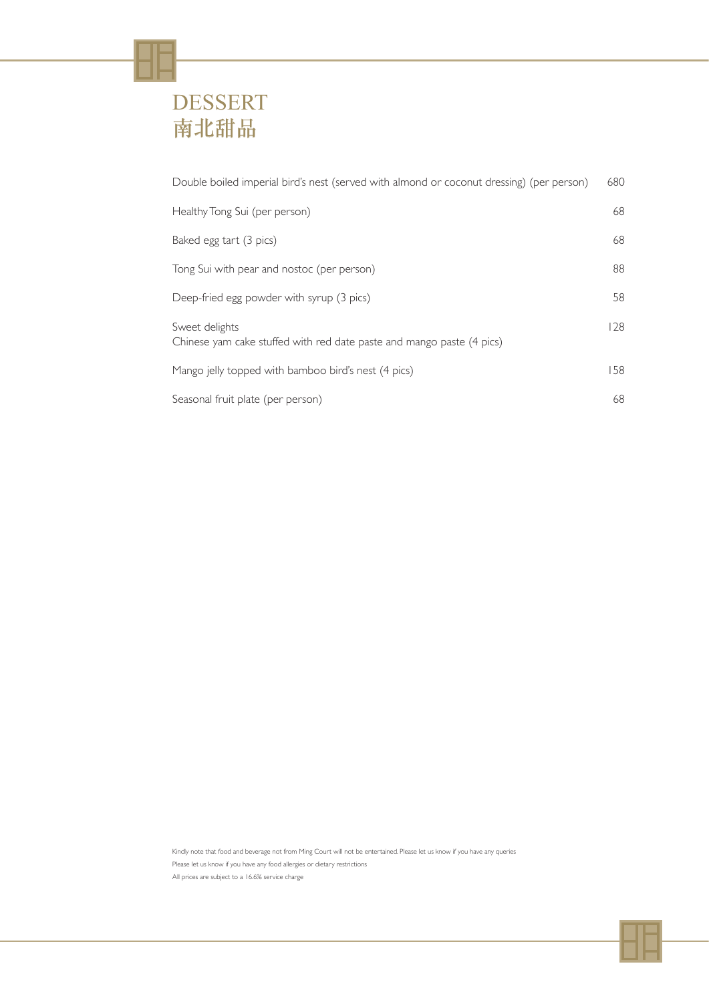| Double boiled imperial bird's nest (served with almond or coconut dressing) (per person) | 680 |
|------------------------------------------------------------------------------------------|-----|
| Healthy Tong Sui (per person)                                                            | 68  |
| Baked egg tart (3 pics)                                                                  | 68  |
| Tong Sui with pear and nostoc (per person)                                               | 88  |
| Deep-fried egg powder with syrup (3 pics)                                                | 58  |
| Sweet delights<br>Chinese yam cake stuffed with red date paste and mango paste (4 pics)  | 128 |
| Mango jelly topped with bamboo bird's nest (4 pics)                                      | 58  |
| Seasonal fruit plate (per person)                                                        | 68  |

# DESSERT 南北甜品

Kindly note that food and beverage not from Ming Court will not be entertained. Please let us know if you have any queries Please let us know if you have any food allergies or dietary restrictions All prices are subject to a 16.6% service charge